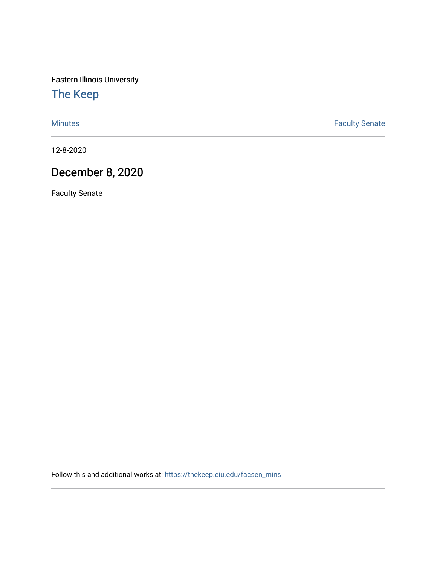Eastern Illinois University

[The Keep](https://thekeep.eiu.edu/) 

[Minutes](https://thekeep.eiu.edu/facsen_mins) **Faculty Senate** 

12-8-2020

## December 8, 2020

Faculty Senate

Follow this and additional works at: [https://thekeep.eiu.edu/facsen\\_mins](https://thekeep.eiu.edu/facsen_mins?utm_source=thekeep.eiu.edu%2Ffacsen_mins%2F1144&utm_medium=PDF&utm_campaign=PDFCoverPages)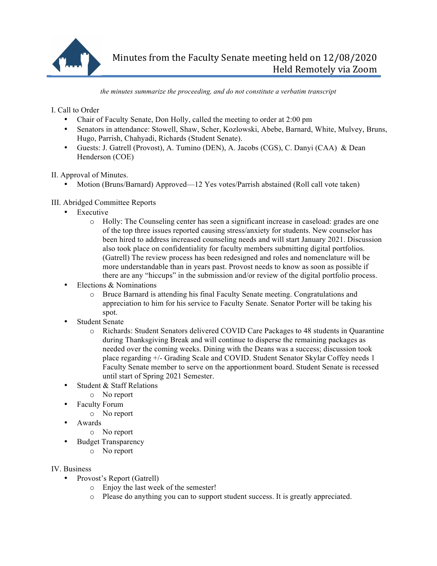

*the minutes summarize the proceeding, and do not constitute a verbatim transcript*

I. Call to Order

- Chair of Faculty Senate, Don Holly, called the meeting to order at 2:00 pm
- Senators in attendance: Stowell, Shaw, Scher, Kozlowski, Abebe, Barnard, White, Mulvey, Bruns, Hugo, Parrish, Chahyadi, Richards (Student Senate).
- Guests: J. Gatrell (Provost), A. Tumino (DEN), A. Jacobs (CGS), C. Danyi (CAA) & Dean Henderson (COE)

II. Approval of Minutes.

• Motion (Bruns/Barnard) Approved—12 Yes votes/Parrish abstained (Roll call vote taken)

## III. Abridged Committee Reports

- Executive
	- o Holly: The Counseling center has seen a significant increase in caseload: grades are one of the top three issues reported causing stress/anxiety for students. New counselor has been hired to address increased counseling needs and will start January 2021. Discussion also took place on confidentiality for faculty members submitting digital portfolios. (Gatrell) The review process has been redesigned and roles and nomenclature will be more understandable than in years past. Provost needs to know as soon as possible if there are any "hiccups" in the submission and/or review of the digital portfolio process.
- Elections & Nominations
	- o Bruce Barnard is attending his final Faculty Senate meeting. Congratulations and appreciation to him for his service to Faculty Senate. Senator Porter will be taking his spot.
- Student Senate
	- o Richards: Student Senators delivered COVID Care Packages to 48 students in Quarantine during Thanksgiving Break and will continue to disperse the remaining packages as needed over the coming weeks. Dining with the Deans was a success; discussion took place regarding +/- Grading Scale and COVID. Student Senator Skylar Coffey needs 1 Faculty Senate member to serve on the apportionment board. Student Senate is recessed until start of Spring 2021 Semester.
- Student & Staff Relations
	- o No report
- Faculty Forum
	- o No report
- Awards
	- o No report
- Budget Transparency
	- o No report

IV. Business

- Provost's Report (Gatrell)
	- o Enjoy the last week of the semester!
	- o Please do anything you can to support student success. It is greatly appreciated.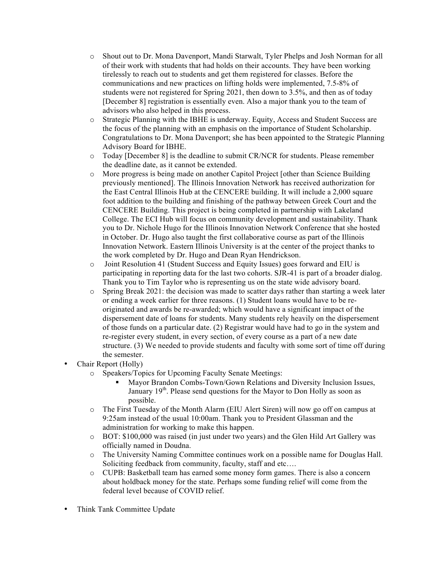- o Shout out to Dr. Mona Davenport, Mandi Starwalt, Tyler Phelps and Josh Norman for all of their work with students that had holds on their accounts. They have been working tirelessly to reach out to students and get them registered for classes. Before the communications and new practices on lifting holds were implemented, 7.5-8% of students were not registered for Spring 2021, then down to 3.5%, and then as of today [December 8] registration is essentially even. Also a major thank you to the team of advisors who also helped in this process.
- o Strategic Planning with the IBHE is underway. Equity, Access and Student Success are the focus of the planning with an emphasis on the importance of Student Scholarship. Congratulations to Dr. Mona Davenport; she has been appointed to the Strategic Planning Advisory Board for IBHE.
- o Today [December 8] is the deadline to submit CR/NCR for students. Please remember the deadline date, as it cannot be extended.
- o More progress is being made on another Capitol Project [other than Science Building previously mentioned]. The Illinois Innovation Network has received authorization for the East Central Illinois Hub at the CENCERE building. It will include a 2,000 square foot addition to the building and finishing of the pathway between Greek Court and the CENCERE Building. This project is being completed in partnership with Lakeland College. The ECI Hub will focus on community development and sustainability. Thank you to Dr. Nichole Hugo for the Illinois Innovation Network Conference that she hosted in October. Dr. Hugo also taught the first collaborative course as part of the Illinois Innovation Network. Eastern Illinois University is at the center of the project thanks to the work completed by Dr. Hugo and Dean Ryan Hendrickson.
- o Joint Resolution 41 (Student Success and Equity Issues) goes forward and EIU is participating in reporting data for the last two cohorts. SJR-41 is part of a broader dialog. Thank you to Tim Taylor who is representing us on the state wide advisory board.
- o Spring Break 2021: the decision was made to scatter days rather than starting a week later or ending a week earlier for three reasons. (1) Student loans would have to be reoriginated and awards be re-awarded; which would have a significant impact of the dispersement date of loans for students. Many students rely heavily on the dispersement of those funds on a particular date. (2) Registrar would have had to go in the system and re-register every student, in every section, of every course as a part of a new date structure. (3) We needed to provide students and faculty with some sort of time off during the semester.
- Chair Report (Holly)
	- o Speakers/Topics for Upcoming Faculty Senate Meetings:
		- § Mayor Brandon Combs-Town/Gown Relations and Diversity Inclusion Issues, January 19<sup>th</sup>. Please send questions for the Mayor to Don Holly as soon as possible.
	- o The First Tuesday of the Month Alarm (EIU Alert Siren) will now go off on campus at 9:25am instead of the usual 10:00am. Thank you to President Glassman and the administration for working to make this happen.
	- o BOT: \$100,000 was raised (in just under two years) and the Glen Hild Art Gallery was officially named in Doudna.
	- o The University Naming Committee continues work on a possible name for Douglas Hall. Soliciting feedback from community, faculty, staff and etc....
	- o CUPB: Basketball team has earned some money form games. There is also a concern about holdback money for the state. Perhaps some funding relief will come from the federal level because of COVID relief.
- Think Tank Committee Update